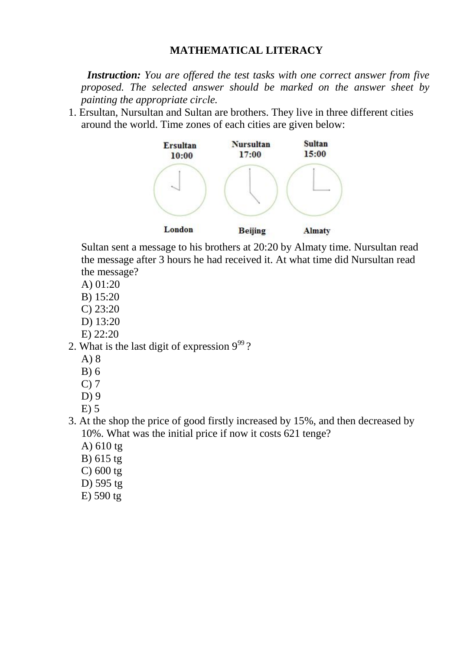## **MATHEMATICAL LITERACY**

 *Instruction: You are offered the test tasks with one correct answer from five proposed. The selected answer should be marked on the answer sheet by painting the appropriate cirсle.*

1. Ersultan, Nursultan and Sultan are brothers. They live in three different cities around the world. Time zones of each cities are given below:



Sultan sent a message to his brothers at 20:20 by Almaty time. Nursultan read the message after 3 hours he had received it. At what time did Nursultan read the message?

- A) 01:20
- B) 15:20
- C) 23:20
- D) 13:20
- E) 22:20
- 2. What is the last digit of expression  $9^{99}$ ?
	- A) 8
	- B) 6
	- C) 7
	- D) 9
	- E) 5
- 3. At the shop the price of good firstly increased by 15%, and then decreased by 10%. What was the initial price if now it costs 621 tenge?
	- A) 610 tg
	- B) 615 tg
	- C) 600 tg
	- D) 595 tg
	- E) 590 tg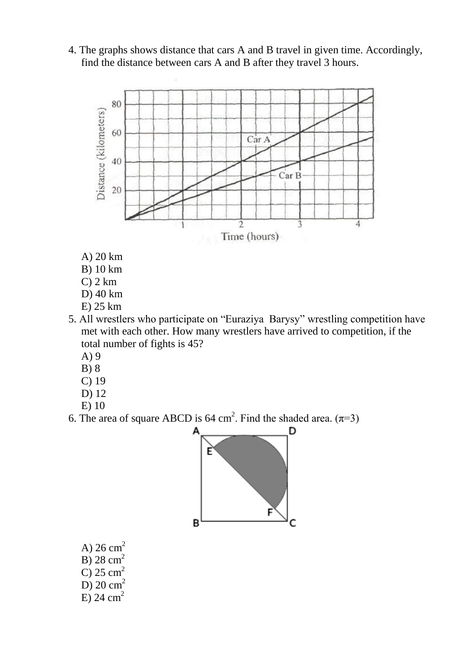4. The graphs shows distance that cars A and B travel in given time. Accordingly, find the distance between cars A and B after they travel 3 hours.



- A) 20 km
- B) 10 km
- C) 2 km
- D) 40 km
- E) 25 km
- 5. All wrestlers who participate on "Euraziya Barysy" wrestling competition have met with each other. How many wrestlers have arrived to competition, if the total number of fights is 45?
	- A) 9
	- B) 8
	- C) 19
	- D) 12
	- E) 10
- 6. The area of square ABCD is 64 cm<sup>2</sup>. Find the shaded area.  $(\pi=3)$



A)  $26 \text{ cm}^2$ B)  $28 \text{ cm}^2$  $\overline{C}$ ) 25 cm<sup>2</sup> D)  $20 \text{ cm}^2$ E) 24 cm<sup>2</sup>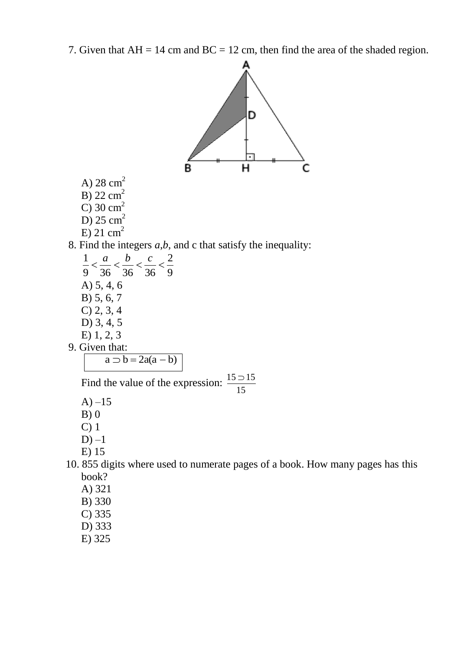7. Given that  $AH = 14$  cm and  $BC = 12$  cm, then find the area of the shaded region.

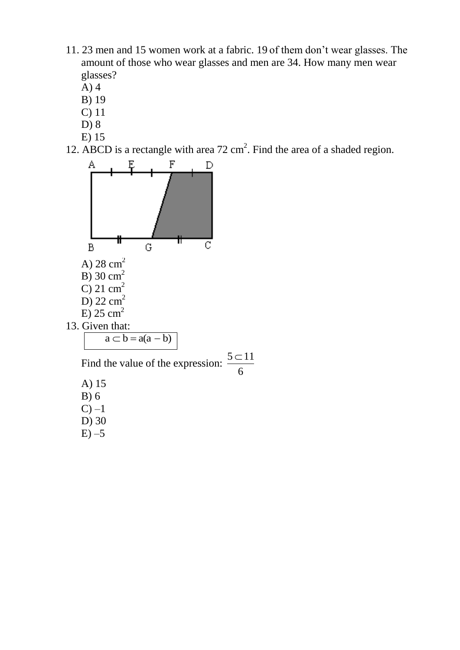- 11. 23 men and 15 women work at a fabric. 19 of them don't wear glasses. The amount of those who wear glasses and men are 34. How many men wear glasses?
	- A) 4
	- B) 19
	- C) 11
	- D) 8
	- E) 15
- 12. ABCD is a rectangle with area  $72 \text{ cm}^2$ . Find the area of a shaded region.